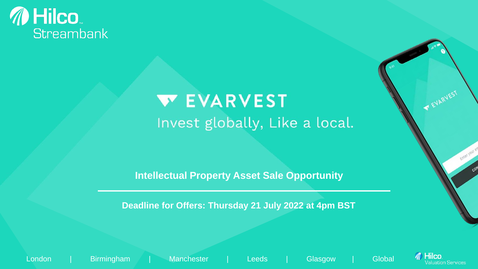## *M* Hilco **Streambank**

# **WEVARVEST** Invest globally, Like a local.

**Intellectual Property Asset Sale Opportunity**

**Deadline for Offers: Thursday 21 July 2022 at 4pm BST**

London | Birmingham | Manchester | Leeds | Glasgow | Global



FUARVEST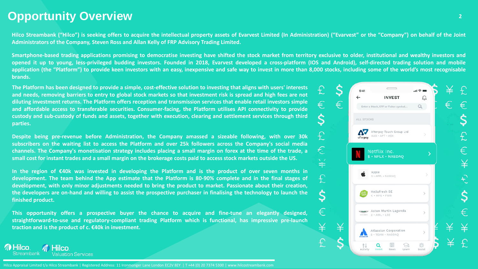## **Opportunity Overview <sup>2</sup>**

*M* Hilco

**Streambank** 

**M** Hilco

**Valuation Services** 

Hilco Streambank ("Hilco") is seeking offers to acquire the intellectual property assets of Evarvest Limited (In Administration) ("Evarvest" or the "Company") on behalf of the Joint **Administrators of the Company, Steven Ross and Allan Kelly of FRP Advisory Trading Limited.**

Smartphone-based trading applications promising to democratise investing have shifted the stock market from territory exclusive to older, institutional and wealthy investors and opened it up to young, less-privileged budding investors. Founded in 2018, Evarvest developed a cross-platform (IOS and Android), self-directed trading solution and mobile application (the "Platform") to provide keen investors with an easy, inexpensive and safe way to invest in more than 8,000 stocks, including some of the world's most recognisable **brands.**

The Platform has been designed to provide a simple, cost-effective solution to investing that aligns with users' interests and needs, removing barriers to entry to global stock markets so that investment risk is spread and high fees are not diluting investment returns. The Platform offers reception and transmission services that enable retail investors simple **and affordable access to transferable securities. Consumer-facing, the Platform utilises API connectivity to provide** custody and sub-custody of funds and assets, together with execution, clearing and settlement services through third **parties.**

**Despite being pre-revenue before Administration, the Company amassed a sizeable following, with over 30k** subscribers on the waiting list to access the Platform and over 25k followers across the Company's social media channels. The Company's monetisation strategy includes placing a small margin on forex at the time of the trade, a small cost for instant trades and a small margin on the brokerage costs paid to access stock markets outside the US.

In the region of  $\epsilon$ 40k was invested in developing the Platform and is the product of over seven months in development. The team behind the App estimate that the Platform is 80-90% complete and in the final stages of **development, with only minor adjustments needed to bring the product to market. Passionate about their creation,** the developers are on-hand and willing to assist the prospective purchaser in finalising the technology to launch the **finished product.**

**This opportunity offers a prospective buyer the chance to acquire and fine-tune an elegantly designed, straightforward-to-use and regulatory-compliant trading Platform which is functional, has impressive pre-launch traction and is the product of c. €40k in investment.**



Hilco Appraisal Limited t/a Hilco Streambank | Registered Address: 11 Ironmonger Lane London EC2V 8EY | T +44 (0) 20 7374 5300 | www.hilcostreambank.com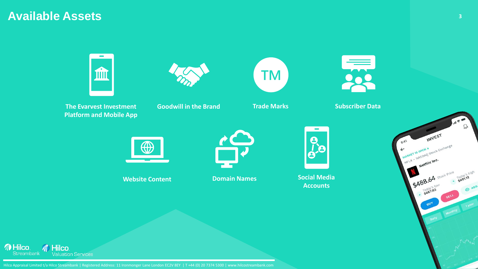## **Available Assets**







**Goodwill in the Brand Trade Marks Coodwill in the Brand** 

**TM** 









**Website Content Domain Names Social Media Accounts**



Hilco Appraisal Limited t/a Hilco Streambank | Registered Address: 11 Ironmonger Lane London EC2V 8EY | T +44 (0) 20 7374 5300 | www.hilcostreambank.com

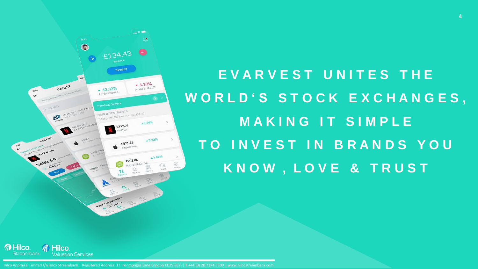

# **E V A R V E S T U N I T E S T H E W O R L D ' S S T O C K E X C H A N G E S , M A K I N G I T S I M P L E T O I N V E S T I N B R A N D S Y O U K N O W , L O V E & T R U S T**



Hilco Appraisal Limited t/a Hilco Streambank | Registered Address: 11 Ironmonger Lane London EC2V 8EY | T +44 (0) 20 7374 5300 | www.hilcostreambank.com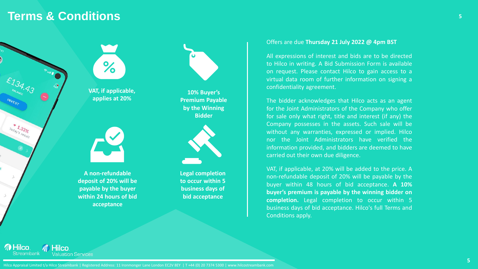## **Terms & Conditions <sup>5</sup>**



**M** Hilco

Streambank

*M* Hilco

**Valuation Services** 





**A non-refundable deposit of 20% will be payable by the buyer within 24 hours of bid acceptance**



**10% Buyer's Premium Payable by the Winning Bidder**



**Legal completion to occur within 5 business days of bid acceptance**

#### Offers are due **Thursday 21 July 2022 @ 4pm BST**

All expressions of interest and bids are to be directed to Hilco in writing. A Bid Submission Form is available on request. Please contact Hilco to gain access to a virtual data room of further information on signing a confidentiality agreement.

The bidder acknowledges that Hilco acts as an agent for the Joint Administrators of the Company who offer for sale only what right, title and interest (if any) the Company possesses in the assets. Such sale will be without any warranties, expressed or implied. Hilco nor the Joint Administrators have verified the information provided, and bidders are deemed to have carried out their own due diligence.

VAT, if applicable, at 20% will be added to the price. A non-refundable deposit of 20% will be payable by the buyer within 48 hours of bid acceptance. **A 10% buyer's premium is payable by the winning bidder on completion.** Legal completion to occur within 5 business days of bid acceptance. Hilco's full Terms and Conditions apply.